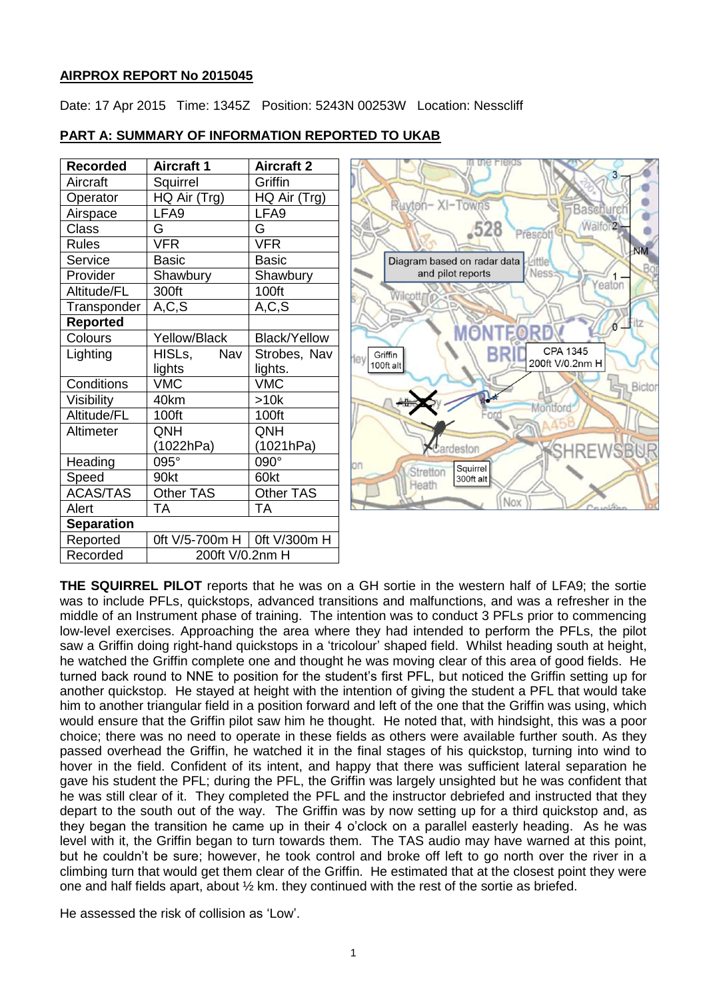# **AIRPROX REPORT No 2015045**

Date: 17 Apr 2015 Time: 1345Z Position: 5243N 00253W Location: Nesscliff

| <b>Recorded</b>   | <b>Aircraft 1</b>             | <b>Aircraft 2</b>   |
|-------------------|-------------------------------|---------------------|
| Aircraft          | Squirrel                      | Griffin             |
| Operator          | HQ Air (Trg)                  | HQ Air (Trg)        |
| Airspace          | LFA9                          | LFA <sub>9</sub>    |
| <b>Class</b>      | G                             | G                   |
| <b>Rules</b>      | <b>VFR</b>                    | <b>VFR</b>          |
| Service           | <b>Basic</b>                  | <b>Basic</b>        |
| Provider          | Shawbury                      | Shawbury            |
| Altitude/FL       | 300ft                         | 100ft               |
| Transponder       | A, C, S                       | A, C, S             |
| <b>Reported</b>   |                               |                     |
| Colours           | Yellow/Black                  | <b>Black/Yellow</b> |
| Lighting          | HISLs,<br>Nav                 | Strobes, Nav        |
|                   | lights                        | lights.             |
| Conditions        | <b>VMC</b>                    | <b>VMC</b>          |
| Visibility        | 40km                          | >10k                |
| Altitude/FL       | 100ft                         | 100ft               |
| Altimeter         | QNH                           | QNH                 |
|                   | (1022hPa)                     | (1021hPa)           |
| Heading           | 095°                          | 090°                |
| Speed             | 90kt                          | 60kt                |
| <b>ACAS/TAS</b>   | <b>Other TAS</b>              | Other TAS           |
| Alert             | TА                            | <b>TA</b>           |
| <b>Separation</b> |                               |                     |
| Reported          | 0ft V/5-700m H   0ft V/300m H |                     |
| Recorded          | 200ft V/0.2nm H               |                     |

## **PART A: SUMMARY OF INFORMATION REPORTED TO UKAB**



**THE SQUIRREL PILOT** reports that he was on a GH sortie in the western half of LFA9; the sortie was to include PFLs, quickstops, advanced transitions and malfunctions, and was a refresher in the middle of an Instrument phase of training. The intention was to conduct 3 PFLs prior to commencing low-level exercises. Approaching the area where they had intended to perform the PFLs, the pilot saw a Griffin doing right-hand quickstops in a 'tricolour' shaped field. Whilst heading south at height, he watched the Griffin complete one and thought he was moving clear of this area of good fields. He turned back round to NNE to position for the student's first PFL, but noticed the Griffin setting up for another quickstop. He stayed at height with the intention of giving the student a PFL that would take him to another triangular field in a position forward and left of the one that the Griffin was using, which would ensure that the Griffin pilot saw him he thought. He noted that, with hindsight, this was a poor choice; there was no need to operate in these fields as others were available further south. As they passed overhead the Griffin, he watched it in the final stages of his quickstop, turning into wind to hover in the field. Confident of its intent, and happy that there was sufficient lateral separation he gave his student the PFL; during the PFL, the Griffin was largely unsighted but he was confident that he was still clear of it. They completed the PFL and the instructor debriefed and instructed that they depart to the south out of the way. The Griffin was by now setting up for a third quickstop and, as they began the transition he came up in their 4 o'clock on a parallel easterly heading. As he was level with it, the Griffin began to turn towards them. The TAS audio may have warned at this point, but he couldn't be sure; however, he took control and broke off left to go north over the river in a climbing turn that would get them clear of the Griffin. He estimated that at the closest point they were one and half fields apart, about  $\frac{1}{2}$  km. they continued with the rest of the sortie as briefed.

He assessed the risk of collision as 'Low'.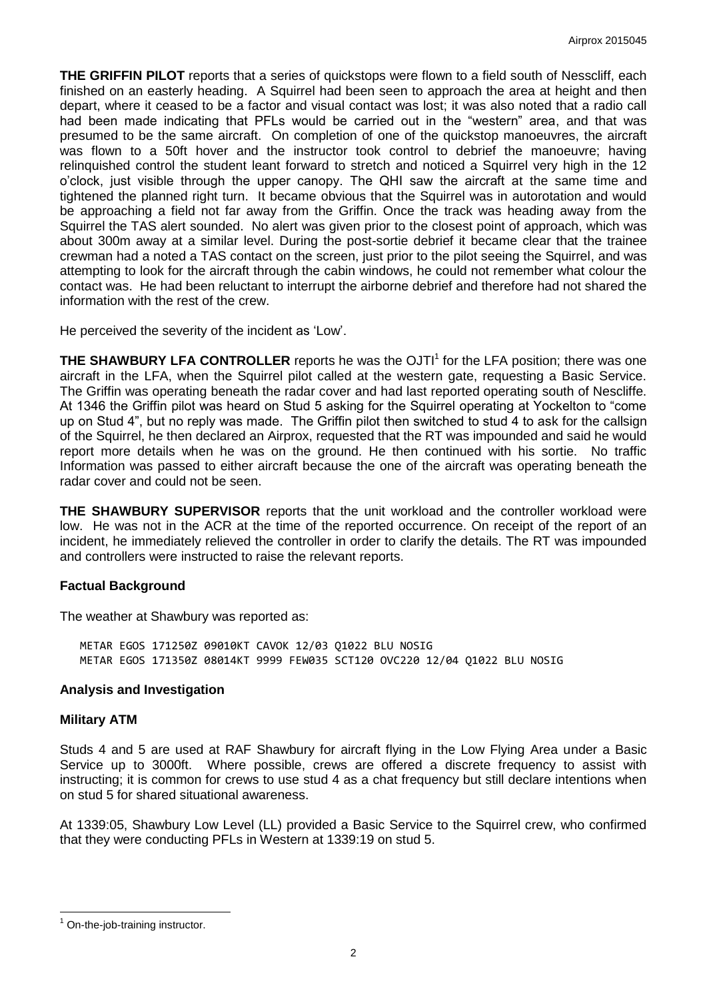**THE GRIFFIN PILOT** reports that a series of quickstops were flown to a field south of Nesscliff, each finished on an easterly heading. A Squirrel had been seen to approach the area at height and then depart, where it ceased to be a factor and visual contact was lost; it was also noted that a radio call had been made indicating that PFLs would be carried out in the "western" area, and that was presumed to be the same aircraft. On completion of one of the quickstop manoeuvres, the aircraft was flown to a 50ft hover and the instructor took control to debrief the manoeuvre; having relinquished control the student leant forward to stretch and noticed a Squirrel very high in the 12 o'clock, just visible through the upper canopy. The QHI saw the aircraft at the same time and tightened the planned right turn. It became obvious that the Squirrel was in autorotation and would be approaching a field not far away from the Griffin. Once the track was heading away from the Squirrel the TAS alert sounded. No alert was given prior to the closest point of approach, which was about 300m away at a similar level. During the post-sortie debrief it became clear that the trainee crewman had a noted a TAS contact on the screen, just prior to the pilot seeing the Squirrel, and was attempting to look for the aircraft through the cabin windows, he could not remember what colour the contact was. He had been reluctant to interrupt the airborne debrief and therefore had not shared the information with the rest of the crew.

He perceived the severity of the incident as 'Low'.

**THE SHAWBURY LFA CONTROLLER** reports he was the OJTI<sup>1</sup> for the LFA position; there was one aircraft in the LFA, when the Squirrel pilot called at the western gate, requesting a Basic Service. The Griffin was operating beneath the radar cover and had last reported operating south of Nescliffe. At 1346 the Griffin pilot was heard on Stud 5 asking for the Squirrel operating at Yockelton to "come up on Stud 4", but no reply was made. The Griffin pilot then switched to stud 4 to ask for the callsign of the Squirrel, he then declared an Airprox, requested that the RT was impounded and said he would report more details when he was on the ground. He then continued with his sortie. No traffic Information was passed to either aircraft because the one of the aircraft was operating beneath the radar cover and could not be seen.

**THE SHAWBURY SUPERVISOR** reports that the unit workload and the controller workload were low. He was not in the ACR at the time of the reported occurrence. On receipt of the report of an incident, he immediately relieved the controller in order to clarify the details. The RT was impounded and controllers were instructed to raise the relevant reports.

#### **Factual Background**

The weather at Shawbury was reported as:

METAR EGOS 171250Z 09010KT CAVOK 12/03 Q1022 BLU NOSIG METAR EGOS 171350Z 08014KT 9999 FEW035 SCT120 OVC220 12/04 Q1022 BLU NOSIG

#### **Analysis and Investigation**

#### **Military ATM**

Studs 4 and 5 are used at RAF Shawbury for aircraft flying in the Low Flying Area under a Basic Service up to 3000ft. Where possible, crews are offered a discrete frequency to assist with instructing; it is common for crews to use stud 4 as a chat frequency but still declare intentions when on stud 5 for shared situational awareness.

At 1339:05, Shawbury Low Level (LL) provided a Basic Service to the Squirrel crew, who confirmed that they were conducting PFLs in Western at 1339:19 on stud 5.

 $\overline{a}$ 

<sup>&</sup>lt;sup>1</sup> On-the-job-training instructor.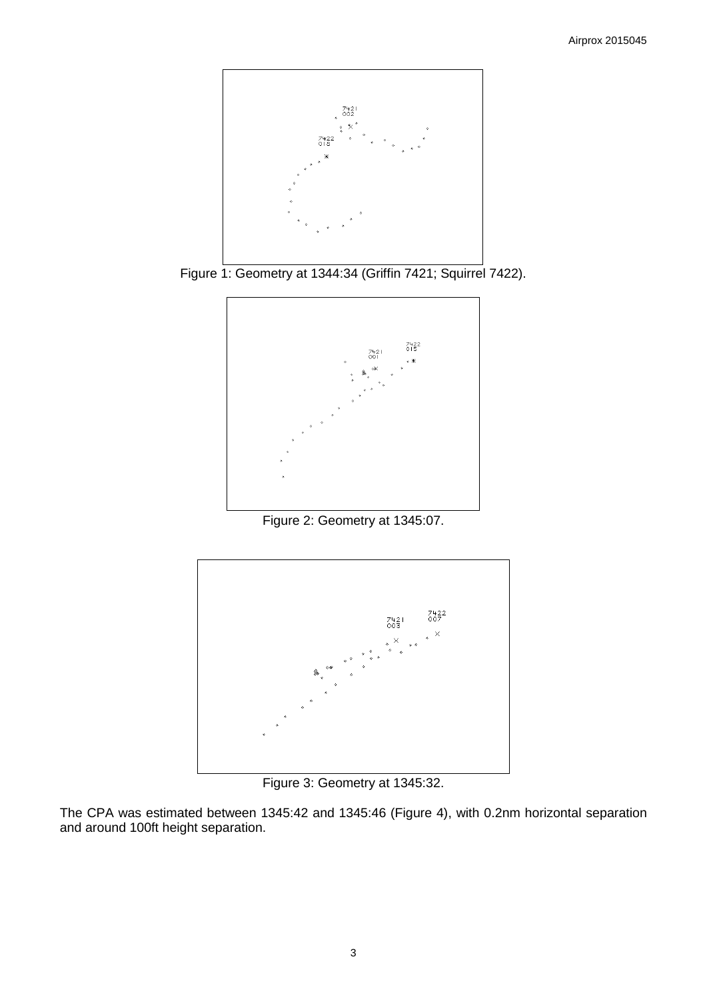

Figure 1: Geometry at 1344:34 (Griffin 7421; Squirrel 7422).



Figure 2: Geometry at 1345:07.



Figure 3: Geometry at 1345:32.

The CPA was estimated between 1345:42 and 1345:46 (Figure 4), with 0.2nm horizontal separation and around 100ft height separation.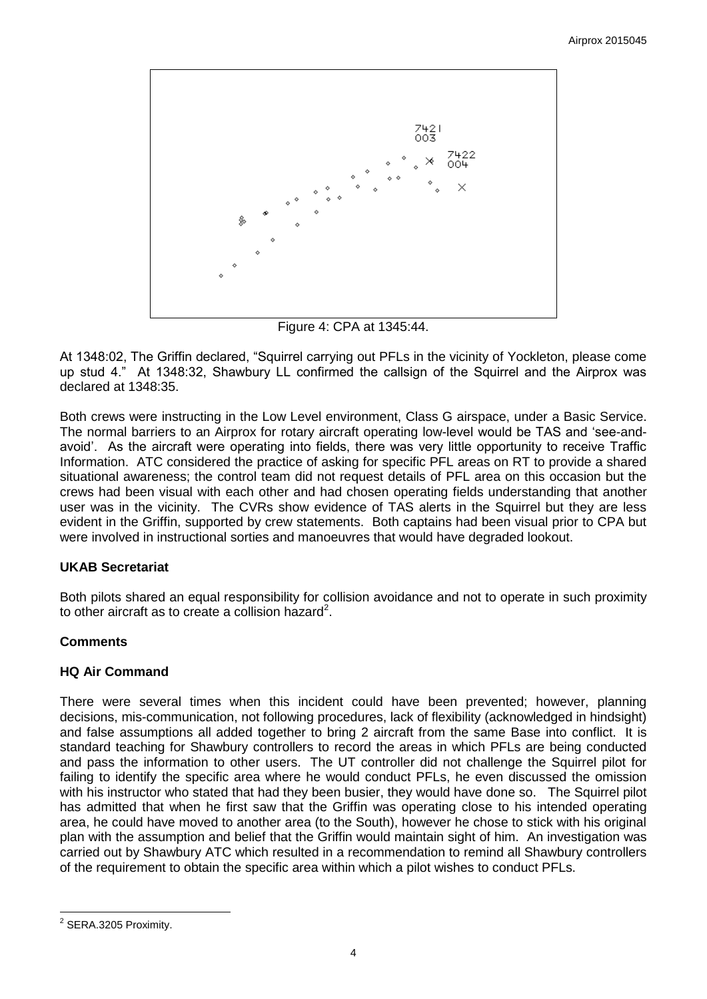

Figure 4: CPA at 1345:44.

At 1348:02, The Griffin declared, "Squirrel carrying out PFLs in the vicinity of Yockleton, please come up stud 4." At 1348:32, Shawbury LL confirmed the callsign of the Squirrel and the Airprox was declared at 1348:35.

Both crews were instructing in the Low Level environment, Class G airspace, under a Basic Service. The normal barriers to an Airprox for rotary aircraft operating low-level would be TAS and 'see-andavoid'. As the aircraft were operating into fields, there was very little opportunity to receive Traffic Information. ATC considered the practice of asking for specific PFL areas on RT to provide a shared situational awareness; the control team did not request details of PFL area on this occasion but the crews had been visual with each other and had chosen operating fields understanding that another user was in the vicinity. The CVRs show evidence of TAS alerts in the Squirrel but they are less evident in the Griffin, supported by crew statements. Both captains had been visual prior to CPA but were involved in instructional sorties and manoeuvres that would have degraded lookout.

# **UKAB Secretariat**

Both pilots shared an equal responsibility for collision avoidance and not to operate in such proximity to other aircraft as to create a collision hazard<sup>2</sup>.

# **Comments**

# **HQ Air Command**

There were several times when this incident could have been prevented; however, planning decisions, mis-communication, not following procedures, lack of flexibility (acknowledged in hindsight) and false assumptions all added together to bring 2 aircraft from the same Base into conflict. It is standard teaching for Shawbury controllers to record the areas in which PFLs are being conducted and pass the information to other users. The UT controller did not challenge the Squirrel pilot for failing to identify the specific area where he would conduct PFLs, he even discussed the omission with his instructor who stated that had they been busier, they would have done so. The Squirrel pilot has admitted that when he first saw that the Griffin was operating close to his intended operating area, he could have moved to another area (to the South), however he chose to stick with his original plan with the assumption and belief that the Griffin would maintain sight of him. An investigation was carried out by Shawbury ATC which resulted in a recommendation to remind all Shawbury controllers of the requirement to obtain the specific area within which a pilot wishes to conduct PFLs.

 $\overline{a}$ <sup>2</sup> SERA.3205 Proximity.